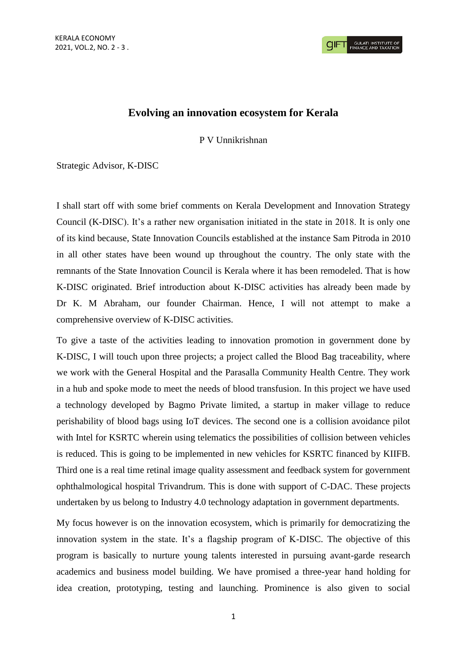## **Evolving an innovation ecosystem for Kerala**

P V Unnikrishnan

Strategic Advisor, K-DISC

I shall start off with some brief comments on Kerala Development and Innovation Strategy Council (K-DISC). It's a rather new organisation initiated in the state in 2018. It is only one of its kind because, State Innovation Councils established at the instance Sam Pitroda in 2010 in all other states have been wound up throughout the country. The only state with the remnants of the State Innovation Council is Kerala where it has been remodeled. That is how K-DISC originated. Brief introduction about K-DISC activities has already been made by Dr K. M Abraham, our founder Chairman. Hence, I will not attempt to make a comprehensive overview of K-DISC activities.

To give a taste of the activities leading to innovation promotion in government done by K-DISC, I will touch upon three projects; a project called the Blood Bag traceability, where we work with the General Hospital and the Parasalla Community Health Centre. They work in a hub and spoke mode to meet the needs of blood transfusion. In this project we have used a technology developed by Bagmo Private limited, a startup in maker village to reduce perishability of blood bags using IoT devices. The second one is a collision avoidance pilot with Intel for KSRTC wherein using telematics the possibilities of collision between vehicles is reduced. This is going to be implemented in new vehicles for KSRTC financed by KIIFB. Third one is a real time retinal image quality assessment and feedback system for government ophthalmological hospital Trivandrum. This is done with support of C-DAC. These projects undertaken by us belong to Industry 4.0 technology adaptation in government departments.

My focus however is on the innovation ecosystem, which is primarily for democratizing the innovation system in the state. It's a flagship program of K-DISC. The objective of this program is basically to nurture young talents interested in pursuing avant-garde research academics and business model building. We have promised a three-year hand holding for idea creation, prototyping, testing and launching. Prominence is also given to social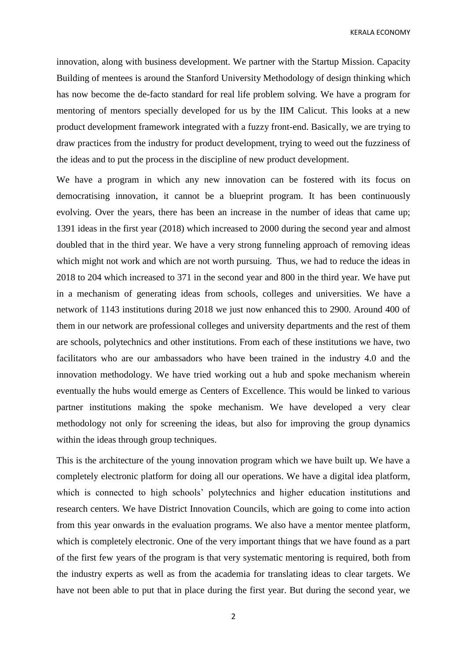KERALA ECONOMY

innovation, along with business development. We partner with the Startup Mission. Capacity Building of mentees is around the Stanford University Methodology of design thinking which has now become the de-facto standard for real life problem solving. We have a program for mentoring of mentors specially developed for us by the IIM Calicut. This looks at a new product development framework integrated with a fuzzy front-end. Basically, we are trying to draw practices from the industry for product development, trying to weed out the fuzziness of the ideas and to put the process in the discipline of new product development.

We have a program in which any new innovation can be fostered with its focus on democratising innovation, it cannot be a blueprint program. It has been continuously evolving. Over the years, there has been an increase in the number of ideas that came up; 1391 ideas in the first year (2018) which increased to 2000 during the second year and almost doubled that in the third year. We have a very strong funneling approach of removing ideas which might not work and which are not worth pursuing. Thus, we had to reduce the ideas in 2018 to 204 which increased to 371 in the second year and 800 in the third year. We have put in a mechanism of generating ideas from schools, colleges and universities. We have a network of 1143 institutions during 2018 we just now enhanced this to 2900. Around 400 of them in our network are professional colleges and university departments and the rest of them are schools, polytechnics and other institutions. From each of these institutions we have, two facilitators who are our ambassadors who have been trained in the industry 4.0 and the innovation methodology. We have tried working out a hub and spoke mechanism wherein eventually the hubs would emerge as Centers of Excellence. This would be linked to various partner institutions making the spoke mechanism. We have developed a very clear methodology not only for screening the ideas, but also for improving the group dynamics within the ideas through group techniques.

This is the architecture of the young innovation program which we have built up. We have a completely electronic platform for doing all our operations. We have a digital idea platform, which is connected to high schools' polytechnics and higher education institutions and research centers. We have District Innovation Councils, which are going to come into action from this year onwards in the evaluation programs. We also have a mentor mentee platform, which is completely electronic. One of the very important things that we have found as a part of the first few years of the program is that very systematic mentoring is required, both from the industry experts as well as from the academia for translating ideas to clear targets. We have not been able to put that in place during the first year. But during the second year, we

2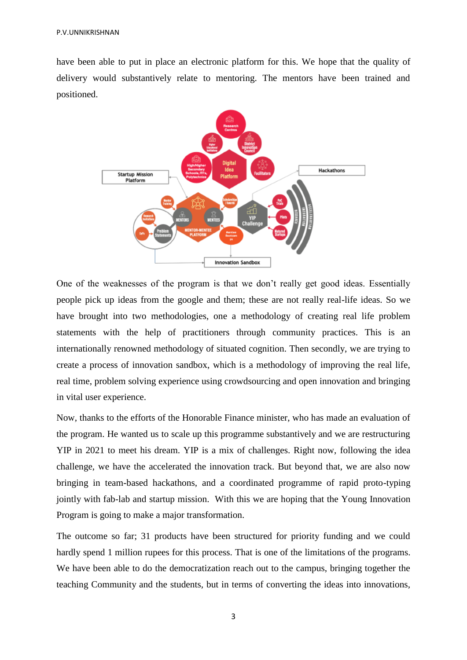have been able to put in place an electronic platform for this. We hope that the quality of delivery would substantively relate to mentoring. The mentors have been trained and positioned.



One of the weaknesses of the program is that we don't really get good ideas. Essentially people pick up ideas from the google and them; these are not really real-life ideas. So we have brought into two methodologies, one a methodology of creating real life problem statements with the help of practitioners through community practices. This is an internationally renowned methodology of situated cognition. Then secondly, we are trying to create a process of innovation sandbox, which is a methodology of improving the real life, real time, problem solving experience using crowdsourcing and open innovation and bringing in vital user experience.

Now, thanks to the efforts of the Honorable Finance minister, who has made an evaluation of the program. He wanted us to scale up this programme substantively and we are restructuring YIP in 2021 to meet his dream. YIP is a mix of challenges. Right now, following the idea challenge, we have the accelerated the innovation track. But beyond that, we are also now bringing in team-based hackathons, and a coordinated programme of rapid proto-typing jointly with fab-lab and startup mission. With this we are hoping that the Young Innovation Program is going to make a major transformation.

The outcome so far; 31 products have been structured for priority funding and we could hardly spend 1 million rupees for this process. That is one of the limitations of the programs. We have been able to do the democratization reach out to the campus, bringing together the teaching Community and the students, but in terms of converting the ideas into innovations,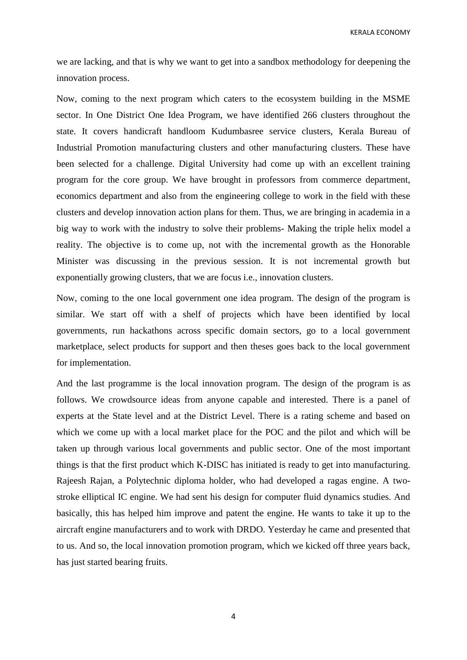KERALA ECONOMY

we are lacking, and that is why we want to get into a sandbox methodology for deepening the innovation process.

Now, coming to the next program which caters to the ecosystem building in the MSME sector. In One District One Idea Program, we have identified 266 clusters throughout the state. It covers handicraft handloom Kudumbasree service clusters, Kerala Bureau of Industrial Promotion manufacturing clusters and other manufacturing clusters. These have been selected for a challenge. Digital University had come up with an excellent training program for the core group. We have brought in professors from commerce department, economics department and also from the engineering college to work in the field with these clusters and develop innovation action plans for them. Thus, we are bringing in academia in a big way to work with the industry to solve their problems- Making the triple helix model a reality. The objective is to come up, not with the incremental growth as the Honorable Minister was discussing in the previous session. It is not incremental growth but exponentially growing clusters, that we are focus i.e., innovation clusters.

Now, coming to the one local government one idea program. The design of the program is similar. We start off with a shelf of projects which have been identified by local governments, run hackathons across specific domain sectors, go to a local government marketplace, select products for support and then theses goes back to the local government for implementation.

And the last programme is the local innovation program. The design of the program is as follows. We crowdsource ideas from anyone capable and interested. There is a panel of experts at the State level and at the District Level. There is a rating scheme and based on which we come up with a local market place for the POC and the pilot and which will be taken up through various local governments and public sector. One of the most important things is that the first product which K-DISC has initiated is ready to get into manufacturing. Rajeesh Rajan, a Polytechnic diploma holder, who had developed a ragas engine. A twostroke elliptical IC engine. We had sent his design for computer fluid dynamics studies. And basically, this has helped him improve and patent the engine. He wants to take it up to the aircraft engine manufacturers and to work with DRDO. Yesterday he came and presented that to us. And so, the local innovation promotion program, which we kicked off three years back, has just started bearing fruits.

4